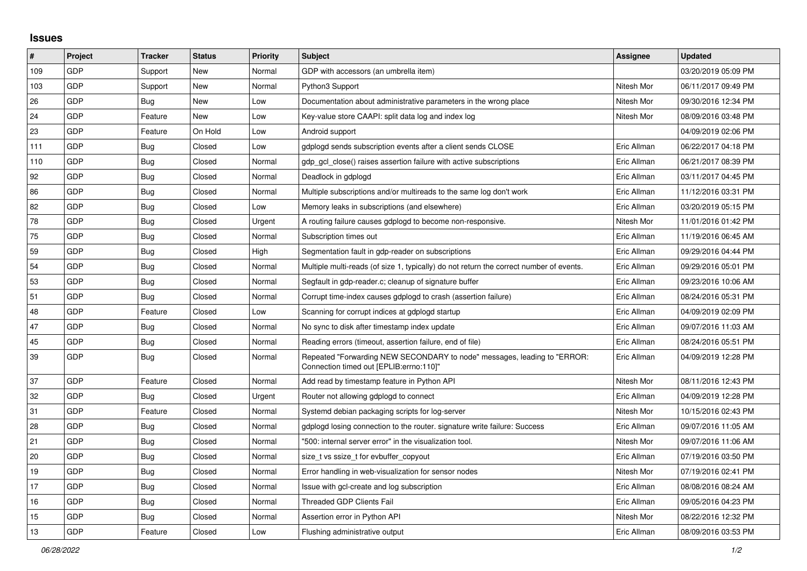## **Issues**

| #   | Project    | <b>Tracker</b> | <b>Status</b> | <b>Priority</b> | <b>Subject</b>                                                                                                      | <b>Assignee</b> | <b>Updated</b>      |
|-----|------------|----------------|---------------|-----------------|---------------------------------------------------------------------------------------------------------------------|-----------------|---------------------|
| 109 | GDP        | Support        | New           | Normal          | GDP with accessors (an umbrella item)                                                                               |                 | 03/20/2019 05:09 PM |
| 103 | GDP        | Support        | <b>New</b>    | Normal          | Python3 Support                                                                                                     | Nitesh Mor      | 06/11/2017 09:49 PM |
| 26  | GDP        | <b>Bug</b>     | New           | Low             | Documentation about administrative parameters in the wrong place                                                    | Nitesh Mor      | 09/30/2016 12:34 PM |
| 24  | GDP        | Feature        | New           | Low             | Key-value store CAAPI: split data log and index log                                                                 | Nitesh Mor      | 08/09/2016 03:48 PM |
| 23  | GDP        | Feature        | On Hold       | Low             | Android support                                                                                                     |                 | 04/09/2019 02:06 PM |
| 111 | GDP        | Bug            | Closed        | Low             | gdplogd sends subscription events after a client sends CLOSE                                                        | Eric Allman     | 06/22/2017 04:18 PM |
| 110 | GDP        | Bug            | Closed        | Normal          | gdp gcl close() raises assertion failure with active subscriptions                                                  | Eric Allman     | 06/21/2017 08:39 PM |
| 92  | GDP        | <b>Bug</b>     | Closed        | Normal          | Deadlock in gdplogd                                                                                                 | Eric Allman     | 03/11/2017 04:45 PM |
| 86  | GDP        | <b>Bug</b>     | Closed        | Normal          | Multiple subscriptions and/or multireads to the same log don't work                                                 | Eric Allman     | 11/12/2016 03:31 PM |
| 82  | GDP        | <b>Bug</b>     | Closed        | Low             | Memory leaks in subscriptions (and elsewhere)                                                                       | Eric Allman     | 03/20/2019 05:15 PM |
| 78  | GDP        | Bug            | Closed        | Urgent          | A routing failure causes gdplogd to become non-responsive.                                                          | Nitesh Mor      | 11/01/2016 01:42 PM |
| 75  | GDP        | Bug            | Closed        | Normal          | Subscription times out                                                                                              | Eric Allman     | 11/19/2016 06:45 AM |
| 59  | GDP        | Bug            | Closed        | High            | Segmentation fault in gdp-reader on subscriptions                                                                   | Eric Allman     | 09/29/2016 04:44 PM |
| 54  | GDP        | <b>Bug</b>     | Closed        | Normal          | Multiple multi-reads (of size 1, typically) do not return the correct number of events.                             | Eric Allman     | 09/29/2016 05:01 PM |
| 53  | GDP        | Bug            | Closed        | Normal          | Segfault in gdp-reader.c; cleanup of signature buffer                                                               | Eric Allman     | 09/23/2016 10:06 AM |
| 51  | GDP        | Bug            | Closed        | Normal          | Corrupt time-index causes gdplogd to crash (assertion failure)                                                      | Eric Allman     | 08/24/2016 05:31 PM |
| 48  | GDP        | Feature        | Closed        | Low             | Scanning for corrupt indices at gdplogd startup                                                                     | Eric Allman     | 04/09/2019 02:09 PM |
| 47  | GDP        | Bug            | Closed        | Normal          | No sync to disk after timestamp index update                                                                        | Eric Allman     | 09/07/2016 11:03 AM |
| 45  | GDP        | <b>Bug</b>     | Closed        | Normal          | Reading errors (timeout, assertion failure, end of file)                                                            | Eric Allman     | 08/24/2016 05:51 PM |
| 39  | <b>GDP</b> | Bug            | Closed        | Normal          | Repeated "Forwarding NEW SECONDARY to node" messages, leading to "ERROR:<br>Connection timed out [EPLIB:errno:110]" | Eric Allman     | 04/09/2019 12:28 PM |
| 37  | GDP        | Feature        | Closed        | Normal          | Add read by timestamp feature in Python API                                                                         | Nitesh Mor      | 08/11/2016 12:43 PM |
| 32  | <b>GDP</b> | Bug            | Closed        | Urgent          | Router not allowing gdplogd to connect                                                                              | Eric Allman     | 04/09/2019 12:28 PM |
| 31  | GDP        | Feature        | Closed        | Normal          | Systemd debian packaging scripts for log-server                                                                     | Nitesh Mor      | 10/15/2016 02:43 PM |
| 28  | GDP        | Bug            | Closed        | Normal          | gdplogd losing connection to the router, signature write failure: Success                                           | Eric Allman     | 09/07/2016 11:05 AM |
| 21  | GDP        | <b>Bug</b>     | Closed        | Normal          | '500: internal server error" in the visualization tool.                                                             | Nitesh Mor      | 09/07/2016 11:06 AM |
| 20  | GDP        | Bug            | Closed        | Normal          | size_t vs ssize_t for evbuffer_copyout                                                                              | Eric Allman     | 07/19/2016 03:50 PM |
| 19  | GDP        | <b>Bug</b>     | Closed        | Normal          | Error handling in web-visualization for sensor nodes                                                                | Nitesh Mor      | 07/19/2016 02:41 PM |
| 17  | GDP        | <b>Bug</b>     | Closed        | Normal          | Issue with gcl-create and log subscription                                                                          | Eric Allman     | 08/08/2016 08:24 AM |
| 16  | GDP        | <b>Bug</b>     | Closed        | Normal          | <b>Threaded GDP Clients Fail</b>                                                                                    | Eric Allman     | 09/05/2016 04:23 PM |
| 15  | GDP        | Bug            | Closed        | Normal          | Assertion error in Python API                                                                                       | Nitesh Mor      | 08/22/2016 12:32 PM |
| 13  | GDP        | Feature        | Closed        | Low             | Flushing administrative output                                                                                      | Eric Allman     | 08/09/2016 03:53 PM |